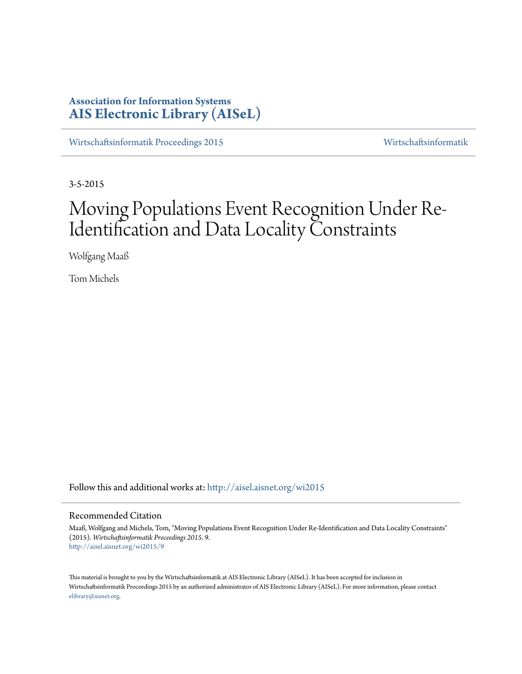# **Association for Information Systems [AIS Electronic Library \(AISeL\)](http://aisel.aisnet.org?utm_source=aisel.aisnet.org%2Fwi2015%2F9&utm_medium=PDF&utm_campaign=PDFCoverPages)**

[Wirtschaftsinformatik Proceedings 2015](http://aisel.aisnet.org/wi2015?utm_source=aisel.aisnet.org%2Fwi2015%2F9&utm_medium=PDF&utm_campaign=PDFCoverPages) [Wirtschaftsinformatik](http://aisel.aisnet.org/wi?utm_source=aisel.aisnet.org%2Fwi2015%2F9&utm_medium=PDF&utm_campaign=PDFCoverPages)

3-5-2015

# Moving Populations Event Recognition Under Re-Identification and Data Locality Constraints

Wolfgang Maaß

Tom Michels

Follow this and additional works at: [http://aisel.aisnet.org/wi2015](http://aisel.aisnet.org/wi2015?utm_source=aisel.aisnet.org%2Fwi2015%2F9&utm_medium=PDF&utm_campaign=PDFCoverPages)

## Recommended Citation

Maaß, Wolfgang and Michels, Tom, "Moving Populations Event Recognition Under Re-Identification and Data Locality Constraints" (2015). *Wirtschaftsinformatik Proceedings 2015*. 9. [http://aisel.aisnet.org/wi2015/9](http://aisel.aisnet.org/wi2015/9?utm_source=aisel.aisnet.org%2Fwi2015%2F9&utm_medium=PDF&utm_campaign=PDFCoverPages)

This material is brought to you by the Wirtschaftsinformatik at AIS Electronic Library (AISeL). It has been accepted for inclusion in Wirtschaftsinformatik Proceedings 2015 by an authorized administrator of AIS Electronic Library (AISeL). For more information, please contact [elibrary@aisnet.org.](mailto:elibrary@aisnet.org%3E)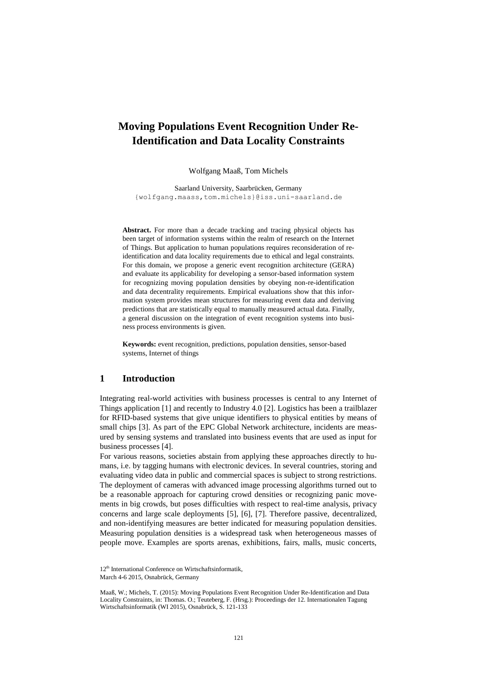# **Moving Populations Event Recognition Under Re-Identification and Data Locality Constraints**

Wolfgang Maaß, Tom Michels

Saarland University, Saarbrücken, Germany {wolfgang.maass,tom.michels}@iss.uni-saarland.de

**Abstract.** For more than a decade tracking and tracing physical objects has been target of information systems within the realm of research on the Internet of Things. But application to human populations requires reconsideration of reidentification and data locality requirements due to ethical and legal constraints. For this domain, we propose a generic event recognition architecture (GERA) and evaluate its applicability for developing a sensor-based information system for recognizing moving population densities by obeying non-re-identification and data decentrality requirements. Empirical evaluations show that this information system provides mean structures for measuring event data and deriving predictions that are statistically equal to manually measured actual data. Finally, a general discussion on the integration of event recognition systems into business process environments is given.

**Keywords:** event recognition, predictions, population densities, sensor-based systems, Internet of things

## **1 Introduction**

Integrating real-world activities with business processes is central to any Internet of Things application [1] and recently to Industry 4.0 [2]. Logistics has been a trailblazer for RFID-based systems that give unique identifiers to physical entities by means of small chips [3]. As part of the EPC Global Network architecture, incidents are measured by sensing systems and translated into business events that are used as input for business processes [4].

For various reasons, societies abstain from applying these approaches directly to humans, i.e. by tagging humans with electronic devices. In several countries, storing and evaluating video data in public and commercial spaces is subject to strong restrictions. The deployment of cameras with advanced image processing algorithms turned out to be a reasonable approach for capturing crowd densities or recognizing panic movements in big crowds, but poses difficulties with respect to real-time analysis, privacy concerns and large scale deployments [5], [6], [7]. Therefore passive, decentralized, and non-identifying measures are better indicated for measuring population densities. Measuring population densities is a widespread task when heterogeneous masses of people move. Examples are sports arenas, exhibitions, fairs, malls, music concerts,

<sup>12&</sup>lt;sup>th</sup> International Conference on Wirtschaftsinformatik, March 4-6 2015, Osnabrück, Germany

Maaß, W.; Michels, T. (2015): Moving Populations Event Recognition Under Re-Identification and Data Locality Constraints, in: Thomas. O.; Teuteberg, F. (Hrsg.): Proceedings der 12. Internationalen Tagung Wirtschaftsinformatik (WI 2015), Osnabrück, S. 121-133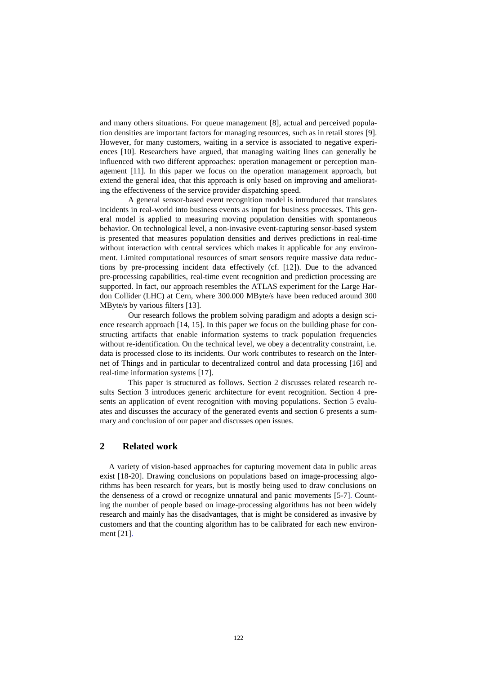and many others situations. For queue management [8], actual and perceived population densities are important factors for managing resources, such as in retail stores [9]. However, for many customers, waiting in a service is associated to negative experiences [10]. Researchers have argued, that managing waiting lines can generally be influenced with two different approaches: operation management or perception management [11]. In this paper we focus on the operation management approach, but extend the general idea, that this approach is only based on improving and ameliorating the effectiveness of the service provider dispatching speed.

A general sensor-based event recognition model is introduced that translates incidents in real-world into business events as input for business processes. This general model is applied to measuring moving population densities with spontaneous behavior. On technological level, a non-invasive event-capturing sensor-based system is presented that measures population densities and derives predictions in real-time without interaction with central services which makes it applicable for any environment. Limited computational resources of smart sensors require massive data reductions by pre-processing incident data effectively (cf. [12]). Due to the advanced pre-processing capabilities, real-time event recognition and prediction processing are supported. In fact, our approach resembles the ATLAS experiment for the Large Hardon Collider (LHC) at Cern, where 300.000 MByte/s have been reduced around 300 MByte/s by various filters [13].

Our research follows the problem solving paradigm and adopts a design science research approach [14, 15]. In this paper we focus on the building phase for constructing artifacts that enable information systems to track population frequencies without re-identification. On the technical level, we obey a decentrality constraint, i.e. data is processed close to its incidents. Our work contributes to research on the Internet of Things and in particular to decentralized control and data processing [16] and real-time information systems [17].

This paper is structured as follows. Section 2 discusses related research results Section 3 introduces generic architecture for event recognition. Section 4 presents an application of event recognition with moving populations. Section 5 evaluates and discusses the accuracy of the generated events and section 6 presents a summary and conclusion of our paper and discusses open issues.

# **2 Related work**

A variety of vision-based approaches for capturing movement data in public areas exist [18-20]. Drawing conclusions on populations based on image-processing algorithms has been research for years, but is mostly being used to draw conclusions on the denseness of a crowd or recognize unnatural and panic movements [5-7]. Counting the number of people based on image-processing algorithms has not been widely research and mainly has the disadvantages, that is might be considered as invasive by customers and that the counting algorithm has to be calibrated for each new environment [21].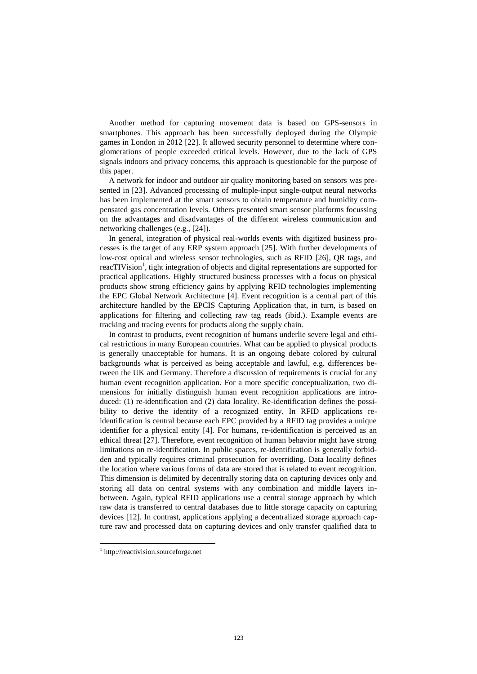Another method for capturing movement data is based on GPS-sensors in smartphones. This approach has been successfully deployed during the Olympic games in London in 2012 [22]. It allowed security personnel to determine where conglomerations of people exceeded critical levels. However, due to the lack of GPS signals indoors and privacy concerns, this approach is questionable for the purpose of this paper.

A network for indoor and outdoor air quality monitoring based on sensors was presented in [23]. Advanced processing of multiple-input single-output neural networks has been implemented at the smart sensors to obtain temperature and humidity compensated gas concentration levels. Others presented smart sensor platforms focussing on the advantages and disadvantages of the different wireless communication and networking challenges (e.g., [24]).

In general, integration of physical real-worlds events with digitized business processes is the target of any ERP system approach [25]. With further developments of low-cost optical and wireless sensor technologies, such as RFID [26], QR tags, and reacTIVision<sup>1</sup>, tight integration of objects and digital representations are supported for practical applications. Highly structured business processes with a focus on physical products show strong efficiency gains by applying RFID technologies implementing the EPC Global Network Architecture [4]. Event recognition is a central part of this architecture handled by the EPCIS Capturing Application that, in turn, is based on applications for filtering and collecting raw tag reads (ibid.). Example events are tracking and tracing events for products along the supply chain.

In contrast to products, event recognition of humans underlie severe legal and ethical restrictions in many European countries. What can be applied to physical products is generally unacceptable for humans. It is an ongoing debate colored by cultural backgrounds what is perceived as being acceptable and lawful, e.g. differences between the UK and Germany. Therefore a discussion of requirements is crucial for any human event recognition application. For a more specific conceptualization, two dimensions for initially distinguish human event recognition applications are introduced: (1) re-identification and (2) data locality. Re-identification defines the possibility to derive the identity of a recognized entity. In RFID applications reidentification is central because each EPC provided by a RFID tag provides a unique identifier for a physical entity [4]. For humans, re-identification is perceived as an ethical threat [27]. Therefore, event recognition of human behavior might have strong limitations on re-identification. In public spaces, re-identification is generally forbidden and typically requires criminal prosecution for overriding. Data locality defines the location where various forms of data are stored that is related to event recognition. This dimension is delimited by decentrally storing data on capturing devices only and storing all data on central systems with any combination and middle layers inbetween. Again, typical RFID applications use a central storage approach by which raw data is transferred to central databases due to little storage capacity on capturing devices [12]. In contrast, applications applying a decentralized storage approach capture raw and processed data on capturing devices and only transfer qualified data to

 $\overline{\phantom{a}}$ 

<sup>1</sup> http://reactivision.sourceforge.net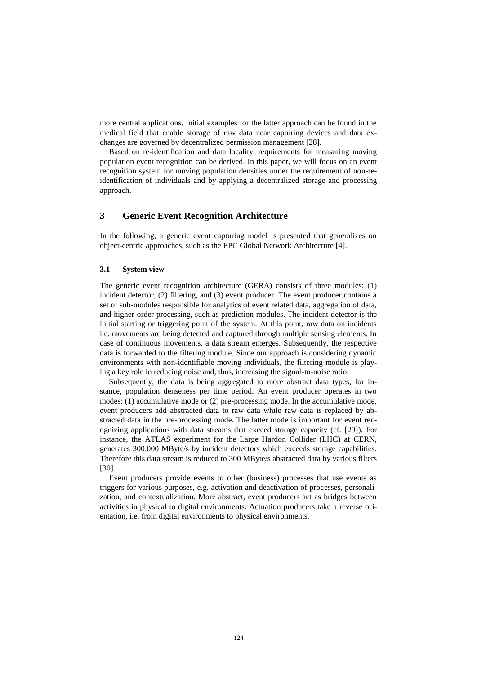more central applications. Initial examples for the latter approach can be found in the medical field that enable storage of raw data near capturing devices and data exchanges are governed by decentralized permission management [28].

Based on re-identification and data locality, requirements for measuring moving population event recognition can be derived. In this paper, we will focus on an event recognition system for moving population densities under the requirement of non-reidentification of individuals and by applying a decentralized storage and processing approach.

# **3 Generic Event Recognition Architecture**

In the following, a generic event capturing model is presented that generalizes on object-centric approaches, such as the EPC Global Network Architecture [4].

#### **3.1 System view**

The generic event recognition architecture (GERA) consists of three modules: (1) incident detector, (2) filtering, and (3) event producer. The event producer contains a set of sub-modules responsible for analytics of event related data, aggregation of data, and higher-order processing, such as prediction modules. The incident detector is the initial starting or triggering point of the system. At this point, raw data on incidents i.e. movements are being detected and captured through multiple sensing elements. In case of continuous movements, a data stream emerges. Subsequently, the respective data is forwarded to the filtering module. Since our approach is considering dynamic environments with non-identifiable moving individuals, the filtering module is playing a key role in reducing noise and, thus, increasing the signal-to-noise ratio.

Subsequently, the data is being aggregated to more abstract data types, for instance, population denseness per time period. An event producer operates in two modes: (1) accumulative mode or (2) pre-processing mode. In the accumulative mode, event producers add abstracted data to raw data while raw data is replaced by abstracted data in the pre-processing mode. The latter mode is important for event recognizing applications with data streams that exceed storage capacity (cf. [29]). For instance, the ATLAS experiment for the Large Hardon Collider (LHC) at CERN, generates 300.000 MByte/s by incident detectors which exceeds storage capabilities. Therefore this data stream is reduced to 300 MByte/s abstracted data by various filters [30].

Event producers provide events to other (business) processes that use events as triggers for various purposes, e.g. activation and deactivation of processes, personalization, and contextualization. More abstract, event producers act as bridges between activities in physical to digital environments. Actuation producers take a reverse orientation, i.e. from digital environments to physical environments.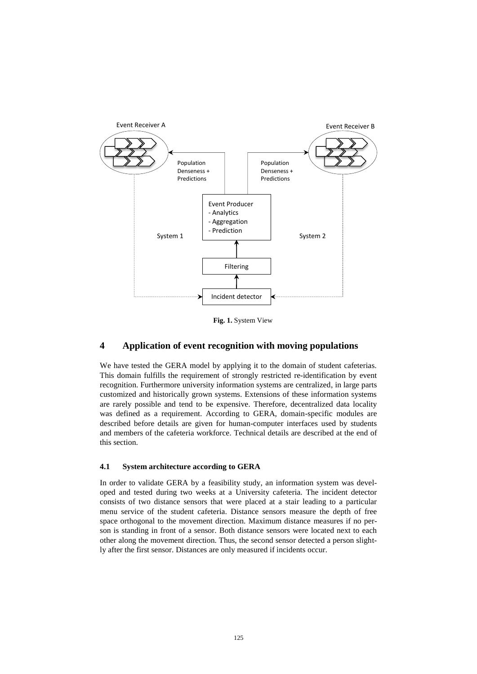

**Fig. 1.** System View

# **4 Application of event recognition with moving populations**

We have tested the GERA model by applying it to the domain of student cafeterias. This domain fulfills the requirement of strongly restricted re-identification by event recognition. Furthermore university information systems are centralized, in large parts customized and historically grown systems. Extensions of these information systems are rarely possible and tend to be expensive. Therefore, decentralized data locality was defined as a requirement. According to GERA, domain-specific modules are described before details are given for human-computer interfaces used by students and members of the cafeteria workforce. Technical details are described at the end of this section.

#### **4.1 System architecture according to GERA**

In order to validate GERA by a feasibility study, an information system was developed and tested during two weeks at a University cafeteria. The incident detector consists of two distance sensors that were placed at a stair leading to a particular menu service of the student cafeteria. Distance sensors measure the depth of free space orthogonal to the movement direction. Maximum distance measures if no person is standing in front of a sensor. Both distance sensors were located next to each other along the movement direction. Thus, the second sensor detected a person slightly after the first sensor. Distances are only measured if incidents occur.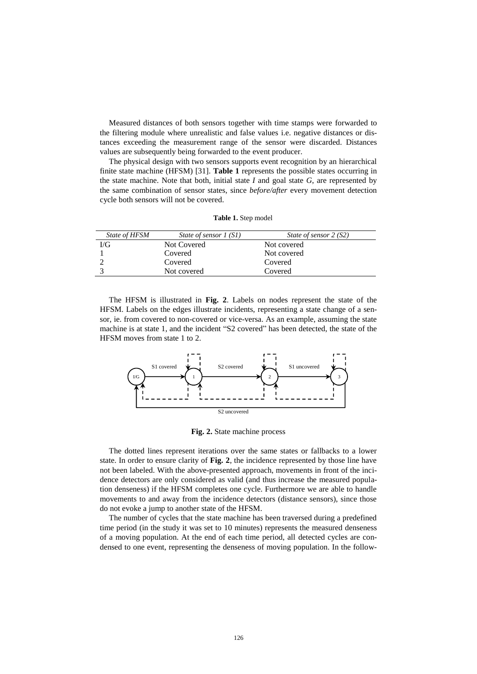Measured distances of both sensors together with time stamps were forwarded to the filtering module where unrealistic and false values i.e. negative distances or distances exceeding the measurement range of the sensor were discarded. Distances values are subsequently being forwarded to the event producer.

The physical design with two sensors supports event recognition by an hierarchical finite state machine (HFSM) [31]. **Table 1** represents the possible states occurring in the state machine. Note that both, initial state *I* and goal state *G*, are represented by the same combination of sensor states, since *before/after* every movement detection cycle both sensors will not be covered.

| Table 1. Step model |  |  |  |
|---------------------|--|--|--|
|---------------------|--|--|--|

| State of HFSM | State of sensor 1 (S1) | State of sensor 2 (S2) |
|---------------|------------------------|------------------------|
| I/G           | Not Covered            | Not covered            |
|               | Covered                | Not covered            |
|               | Covered                | Covered                |
|               | Not covered            | Covered                |

The HFSM is illustrated in **Fig. 2**. Labels on nodes represent the state of the HFSM. Labels on the edges illustrate incidents, representing a state change of a sensor, ie. from covered to non-covered or vice-versa. As an example, assuming the state machine is at state 1, and the incident "S2 covered" has been detected, the state of the HFSM moves from state 1 to 2.



**Fig. 2.** State machine process

The dotted lines represent iterations over the same states or fallbacks to a lower state. In order to ensure clarity of **Fig. 2**, the incidence represented by those line have not been labeled. With the above-presented approach, movements in front of the incidence detectors are only considered as valid (and thus increase the measured population denseness) if the HFSM completes one cycle. Furthermore we are able to handle movements to and away from the incidence detectors (distance sensors), since those do not evoke a jump to another state of the HFSM.

The number of cycles that the state machine has been traversed during a predefined time period (in the study it was set to 10 minutes) represents the measured denseness of a moving population. At the end of each time period, all detected cycles are condensed to one event, representing the denseness of moving population. In the follow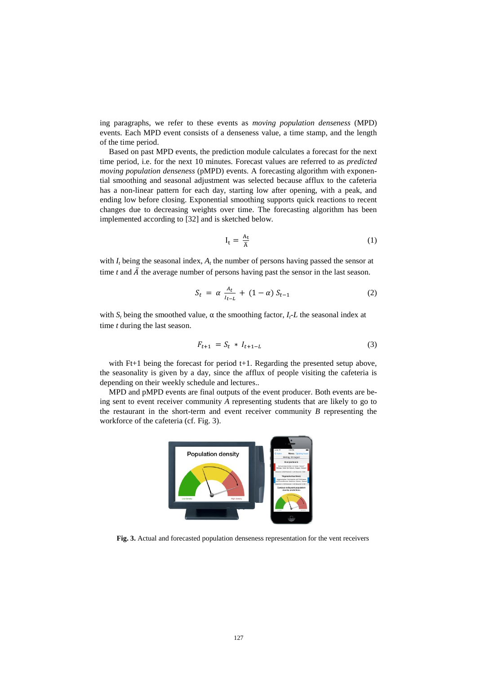ing paragraphs, we refer to these events as *moving population denseness* (MPD) events. Each MPD event consists of a denseness value, a time stamp, and the length of the time period.

Based on past MPD events, the prediction module calculates a forecast for the next time period, i.e. for the next 10 minutes. Forecast values are referred to as *predicted moving population denseness* (pMPD) events. A forecasting algorithm with exponential smoothing and seasonal adjustment was selected because afflux to the cafeteria has a non-linear pattern for each day, starting low after opening, with a peak, and ending low before closing. Exponential smoothing supports quick reactions to recent changes due to decreasing weights over time. The forecasting algorithm has been implemented according to [32] and is sketched below.

$$
I_t = \frac{A_t}{\overline{A}} \tag{1}
$$

with  $I_t$  being the seasonal index,  $A_t$  the number of persons having passed the sensor at time *t* and  $\overline{A}$  the average number of persons having past the sensor in the last season.

$$
S_t = \alpha \frac{A_t}{I_{t-L}} + (1 - \alpha) S_{t-1}
$$
 (2)

with  $S_t$  being the smoothed value,  $\alpha$  the smoothing factor,  $I_t$ -L the seasonal index at time *t* during the last season.

$$
F_{t+1} = S_t * I_{t+1-L}
$$
 (3)

with Ft+1 being the forecast for period t+1. Regarding the presented setup above, the seasonality is given by a day, since the afflux of people visiting the cafeteria is depending on their weekly schedule and lectures..

MPD and pMPD events are final outputs of the event producer. Both events are being sent to event receiver community *A* representing students that are likely to go to the restaurant in the short-term and event receiver community *B* representing the workforce of the cafeteria (cf. [Fig. 3\)](#page-7-0).



<span id="page-7-0"></span>**Fig. 3.** Actual and forecasted population denseness representation for the vent receivers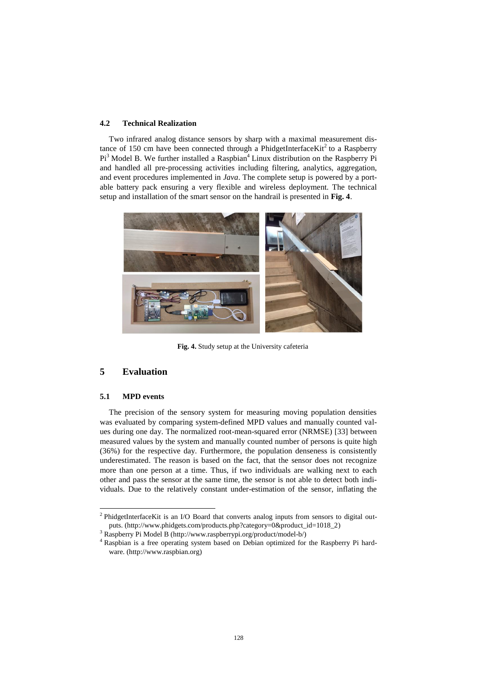#### **4.2 Technical Realization**

Two infrared analog distance sensors by sharp with a maximal measurement distance of 150 cm have been connected through a PhidgetInterface $\text{Kit}^2$  to a Raspberry Pi<sup>3</sup> Model B. We further installed a Raspbian<sup>4</sup> Linux distribution on the Raspberry Pi and handled all pre-processing activities including filtering, analytics, aggregation, and event procedures implemented in *Java*. The complete setup is powered by a portable battery pack ensuring a very flexible and wireless deployment. The technical setup and installation of the smart sensor on the handrail is presented in **Fig. 4**.



**Fig. 4.** Study setup at the University cafeteria

# **5 Evaluation**

## **5.1 MPD events**

l

The precision of the sensory system for measuring moving population densities was evaluated by comparing system-defined MPD values and manually counted values during one day. The normalized root-mean-squared error (NRMSE) [33] between measured values by the system and manually counted number of persons is quite high (36%) for the respective day. Furthermore, the population denseness is consistently underestimated. The reason is based on the fact, that the sensor does not recognize more than one person at a time. Thus, if two individuals are walking next to each other and pass the sensor at the same time, the sensor is not able to detect both individuals. Due to the relatively constant under-estimation of the sensor, inflating the

<sup>&</sup>lt;sup>2</sup> PhidgetInterfaceKit is an I/O Board that converts analog inputs from sensors to digital outputs. (http://www.phidgets.com/products.php?category=0&product\_id=1018\_2)

<sup>3</sup> Raspberry Pi Model B (http://www.raspberrypi.org/product/model-b/)

<sup>4</sup> Raspbian is a free operating system based on Debian optimized for the Raspberry Pi hardware. (http://www.raspbian.org)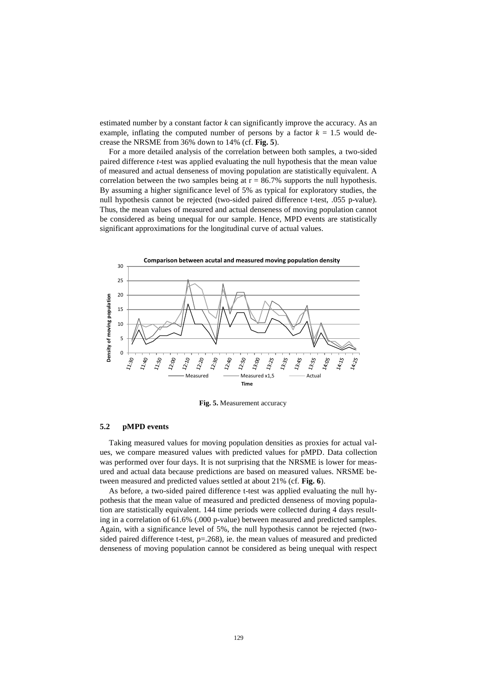estimated number by a constant factor *k* can significantly improve the accuracy. As an example, inflating the computed number of persons by a factor  $k = 1.5$  would decrease the NRSME from 36% down to 14% (cf. **Fig. 5**).

For a more detailed analysis of the correlation between both samples, a two-sided paired difference *t*-test was applied evaluating the null hypothesis that the mean value of measured and actual denseness of moving population are statistically equivalent. A correlation between the two samples being at  $r = 86.7\%$  supports the null hypothesis. By assuming a higher significance level of 5% as typical for exploratory studies, the null hypothesis cannot be rejected (two-sided paired difference t-test, .055 p-value). Thus, the mean values of measured and actual denseness of moving population cannot be considered as being unequal for our sample. Hence, MPD events are statistically significant approximations for the longitudinal curve of actual values.



**Fig. 5.** Measurement accuracy

#### **5.2 pMPD events**

Taking measured values for moving population densities as proxies for actual values, we compare measured values with predicted values for pMPD. Data collection was performed over four days. It is not surprising that the NRSME is lower for measured and actual data because predictions are based on measured values. NRSME between measured and predicted values settled at about 21% (cf. **Fig. 6**).

As before, a two-sided paired difference t-test was applied evaluating the null hypothesis that the mean value of measured and predicted denseness of moving population are statistically equivalent. 144 time periods were collected during 4 days resulting in a correlation of 61.6% (.000 p-value) between measured and predicted samples. Again, with a significance level of 5%, the null hypothesis cannot be rejected (twosided paired difference t-test,  $p=.268$ ), ie. the mean values of measured and predicted denseness of moving population cannot be considered as being unequal with respect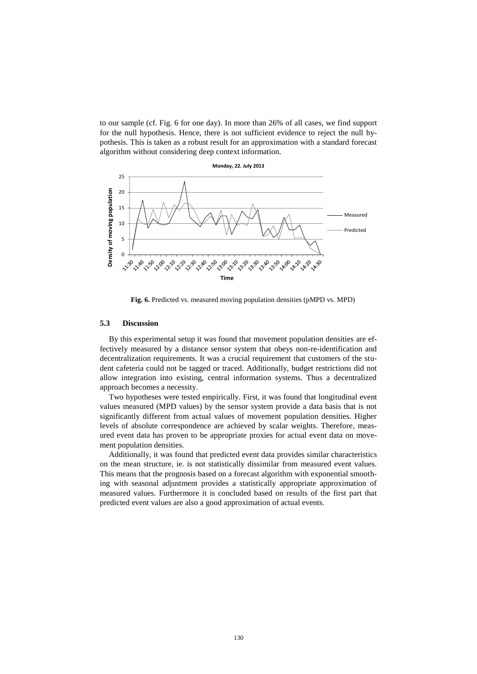to our sample (cf. Fig. 6 for one day). In more than 26% of all cases, we find support for the null hypothesis. Hence, there is not sufficient evidence to reject the null hypothesis. This is taken as a robust result for an approximation with a standard forecast algorithm without considering deep context information.



**Fig. 6.** Predicted vs. measured moving population densities (pMPD vs. MPD)

#### **5.3 Discussion**

By this experimental setup it was found that movement population densities are effectively measured by a distance sensor system that obeys non-re-identification and decentralization requirements. It was a crucial requirement that customers of the student cafeteria could not be tagged or traced. Additionally, budget restrictions did not allow integration into existing, central information systems. Thus a decentralized approach becomes a necessity.

Two hypotheses were tested empirically. First, it was found that longitudinal event values measured (MPD values) by the sensor system provide a data basis that is not significantly different from actual values of movement population densities. Higher levels of absolute correspondence are achieved by scalar weights. Therefore, measured event data has proven to be appropriate proxies for actual event data on movement population densities.

Additionally, it was found that predicted event data provides similar characteristics on the mean structure, ie. is not statistically dissimilar from measured event values. This means that the prognosis based on a forecast algorithm with exponential smoothing with seasonal adjustment provides a statistically appropriate approximation of measured values. Furthermore it is concluded based on results of the first part that predicted event values are also a good approximation of actual events.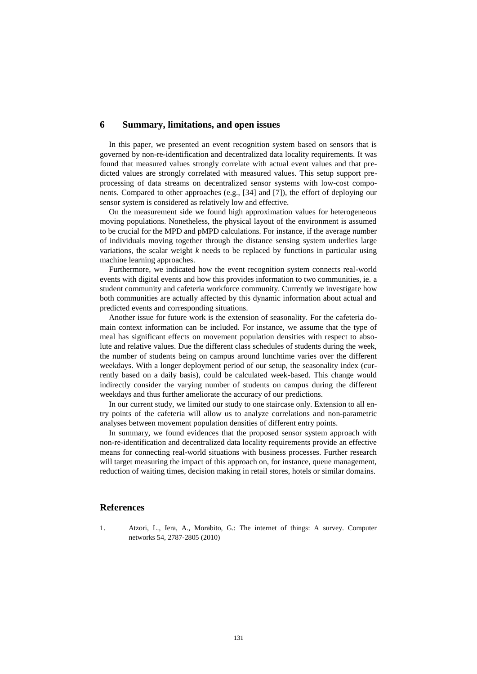# **6 Summary, limitations, and open issues**

In this paper, we presented an event recognition system based on sensors that is governed by non-re-identification and decentralized data locality requirements. It was found that measured values strongly correlate with actual event values and that predicted values are strongly correlated with measured values. This setup support preprocessing of data streams on decentralized sensor systems with low-cost components. Compared to other approaches (e.g., [34] and [7]), the effort of deploying our sensor system is considered as relatively low and effective.

On the measurement side we found high approximation values for heterogeneous moving populations. Nonetheless, the physical layout of the environment is assumed to be crucial for the MPD and pMPD calculations. For instance, if the average number of individuals moving together through the distance sensing system underlies large variations, the scalar weight *k* needs to be replaced by functions in particular using machine learning approaches.

Furthermore, we indicated how the event recognition system connects real-world events with digital events and how this provides information to two communities, ie. a student community and cafeteria workforce community. Currently we investigate how both communities are actually affected by this dynamic information about actual and predicted events and corresponding situations.

Another issue for future work is the extension of seasonality. For the cafeteria domain context information can be included. For instance, we assume that the type of meal has significant effects on movement population densities with respect to absolute and relative values. Due the different class schedules of students during the week, the number of students being on campus around lunchtime varies over the different weekdays. With a longer deployment period of our setup, the seasonality index (currently based on a daily basis), could be calculated week-based. This change would indirectly consider the varying number of students on campus during the different weekdays and thus further ameliorate the accuracy of our predictions.

In our current study, we limited our study to one staircase only. Extension to all entry points of the cafeteria will allow us to analyze correlations and non-parametric analyses between movement population densities of different entry points.

In summary, we found evidences that the proposed sensor system approach with non-re-identification and decentralized data locality requirements provide an effective means for connecting real-world situations with business processes. Further research will target measuring the impact of this approach on, for instance, queue management, reduction of waiting times, decision making in retail stores, hotels or similar domains.

#### **References**

1. Atzori, L., Iera, A., Morabito, G.: The internet of things: A survey. Computer networks 54, 2787-2805 (2010)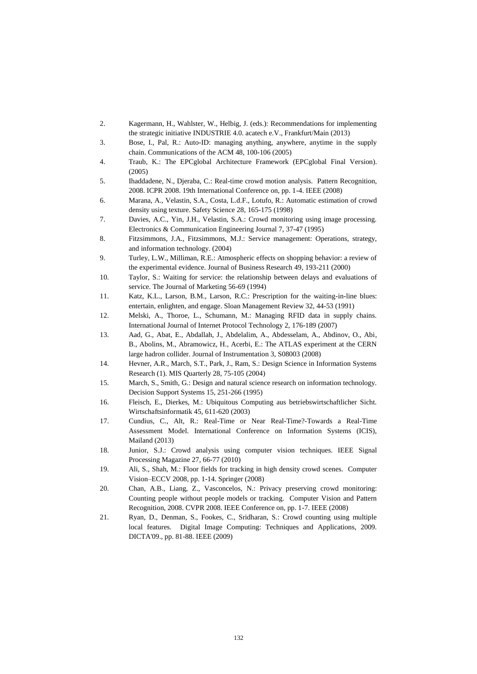- 2. Kagermann, H., Wahlster, W., Helbig, J. (eds.): Recommendations for implementing the strategic initiative INDUSTRIE 4.0. acatech e.V., Frankfurt/Main (2013)
- 3. Bose, I., Pal, R.: Auto-ID: managing anything, anywhere, anytime in the supply chain. Communications of the ACM 48, 100-106 (2005)
- 4. Traub, K.: The EPCglobal Architecture Framework (EPCglobal Final Version). (2005)
- 5. Ihaddadene, N., Djeraba, C.: Real-time crowd motion analysis. Pattern Recognition, 2008. ICPR 2008. 19th International Conference on, pp. 1-4. IEEE (2008)
- 6. Marana, A., Velastin, S.A., Costa, L.d.F., Lotufo, R.: Automatic estimation of crowd density using texture. Safety Science 28, 165-175 (1998)
- 7. Davies, A.C., Yin, J.H., Velastin, S.A.: Crowd monitoring using image processing. Electronics & Communication Engineering Journal 7, 37-47 (1995)
- 8. Fitzsimmons, J.A., Fitzsimmons, M.J.: Service management: Operations, strategy, and information technology. (2004)
- 9. Turley, L.W., Milliman, R.E.: Atmospheric effects on shopping behavior: a review of the experimental evidence. Journal of Business Research 49, 193-211 (2000)
- 10. Taylor, S.: Waiting for service: the relationship between delays and evaluations of service. The Journal of Marketing 56-69 (1994)
- 11. Katz, K.L., Larson, B.M., Larson, R.C.: Prescription for the waiting-in-line blues: entertain, enlighten, and engage. Sloan Management Review 32, 44-53 (1991)
- 12. Melski, A., Thoroe, L., Schumann, M.: Managing RFID data in supply chains. International Journal of Internet Protocol Technology 2, 176-189 (2007)
- 13. Aad, G., Abat, E., Abdallah, J., Abdelalim, A., Abdesselam, A., Abdinov, O., Abi, B., Abolins, M., Abramowicz, H., Acerbi, E.: The ATLAS experiment at the CERN large hadron collider. Journal of Instrumentation 3, S08003 (2008)
- 14. Hevner, A.R., March, S.T., Park, J., Ram, S.: Design Science in Information Systems Research (1). MIS Quarterly 28, 75-105 (2004)
- 15. March, S., Smith, G.: Design and natural science research on information technology. Decision Support Systems 15, 251-266 (1995)
- 16. Fleisch, E., Dierkes, M.: Ubiquitous Computing aus betriebswirtschaftlicher Sicht. Wirtschaftsinformatik 45, 611-620 (2003)
- 17. Cundius, C., Alt, R.: Real-Time or Near Real-Time?-Towards a Real-Time Assessment Model. International Conference on Information Systems (ICIS), Mailand (2013)
- 18. Junior, S.J.: Crowd analysis using computer vision techniques. IEEE Signal Processing Magazine 27, 66-77 (2010)
- 19. Ali, S., Shah, M.: Floor fields for tracking in high density crowd scenes. Computer Vision–ECCV 2008, pp. 1-14. Springer (2008)
- 20. Chan, A.B., Liang, Z., Vasconcelos, N.: Privacy preserving crowd monitoring: Counting people without people models or tracking. Computer Vision and Pattern Recognition, 2008. CVPR 2008. IEEE Conference on, pp. 1-7. IEEE (2008)
- 21. Ryan, D., Denman, S., Fookes, C., Sridharan, S.: Crowd counting using multiple local features. Digital Image Computing: Techniques and Applications, 2009. DICTA'09., pp. 81-88. IEEE (2009)